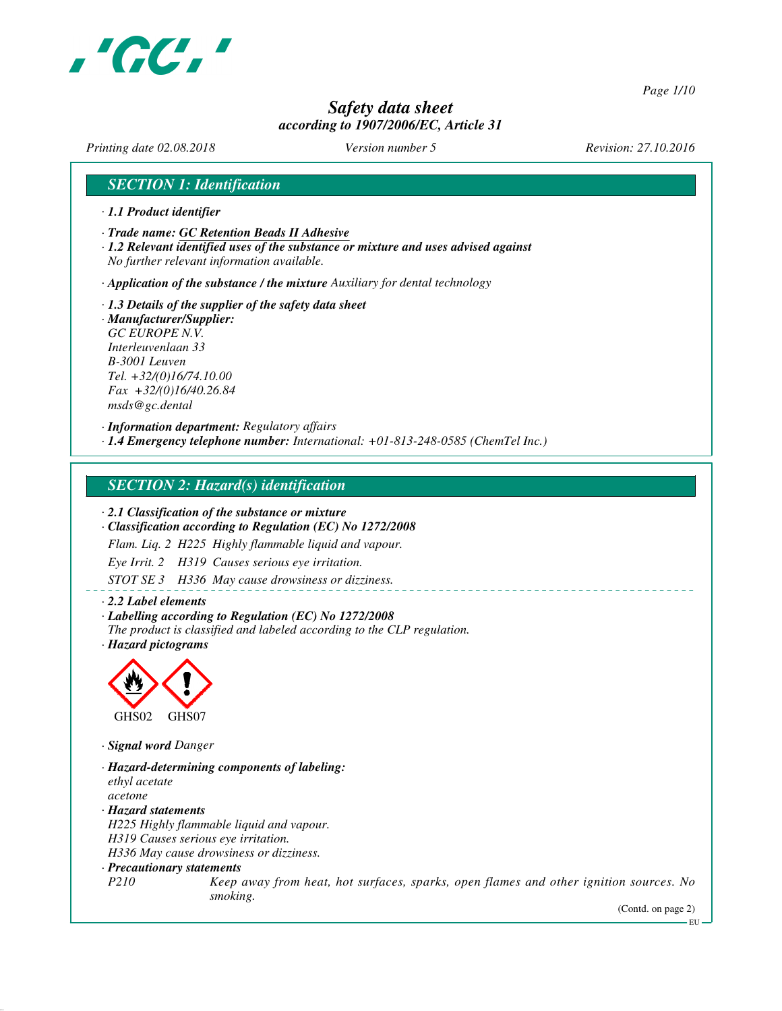

*Page 1/10*

# *Safety data sheet according to 1907/2006/EC, Article 31*

*Printing date 02.08.2018 Version number 5 Revision: 27.10.2016*

# *SECTION 1: Identification*

- *· 1.1 Product identifier*
- *· Trade name: GC Retention Beads II Adhesive*
- *· 1.2 Relevant identified uses of the substance or mixture and uses advised against No further relevant information available.*

*· Application of the substance / the mixture Auxiliary for dental technology*

*· 1.3 Details of the supplier of the safety data sheet · Manufacturer/Supplier: GC EUROPE N.V. Interleuvenlaan 33 B-3001 Leuven Tel. +32/(0)16/74.10.00 Fax +32/(0)16/40.26.84 msds@gc.dental*

*· Information department: Regulatory affairs*

*· 1.4 Emergency telephone number: International: +01-813-248-0585 (ChemTel Inc.)*

## *SECTION 2: Hazard(s) identification*

*· 2.1 Classification of the substance or mixture*

*· Classification according to Regulation (EC) No 1272/2008*

*Flam. Liq. 2 H225 Highly flammable liquid and vapour.*

*Eye Irrit. 2 H319 Causes serious eye irritation.*

*STOT SE 3 H336 May cause drowsiness or dizziness.*

*· 2.2 Label elements*

- *· Labelling according to Regulation (EC) No 1272/2008*
- *The product is classified and labeled according to the CLP regulation.*
- *· Hazard pictograms*



*· Signal word Danger*

- *· Hazard-determining components of labeling: ethyl acetate acetone*
- *· Hazard statements H225 Highly flammable liquid and vapour. H319 Causes serious eye irritation. H336 May cause drowsiness or dizziness.*

*· Precautionary statements*

*P210 Keep away from heat, hot surfaces, sparks, open flames and other ignition sources. No smoking.*

(Contd. on page 2)

 $-$ EU $-$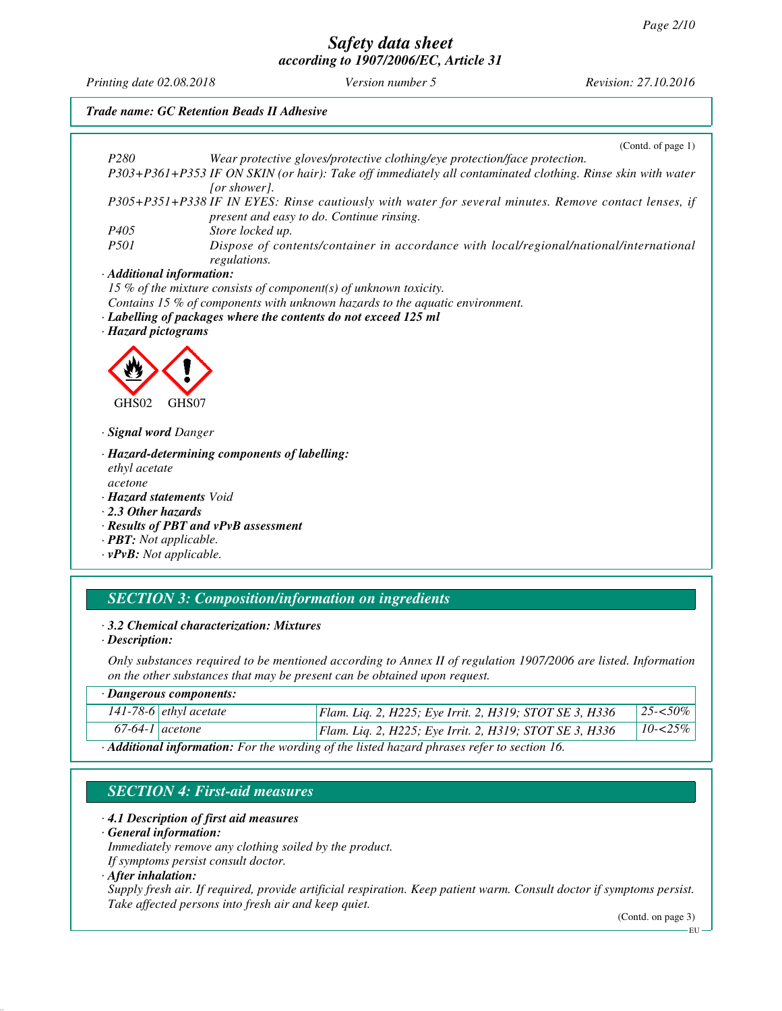*Printing date 02.08.2018 Version number 5 Revision: 27.10.2016*

*Trade name: GC Retention Beads II Adhesive* (Contd. of page 1) *P280 Wear protective gloves/protective clothing/eye protection/face protection. P303+P361+P353 IF ON SKIN (or hair): Take off immediately all contaminated clothing. Rinse skin with water [or shower]. P305+P351+P338 IF IN EYES: Rinse cautiously with water for several minutes. Remove contact lenses, if present and easy to do. Continue rinsing. P405 Store locked up. Pispose of contents/container in accordance with local/regional/national/international regulations. · Additional information: 15 % of the mixture consists of component(s) of unknown toxicity. Contains 15 % of components with unknown hazards to the aquatic environment. · Labelling of packages where the contents do not exceed 125 ml · Hazard pictograms* GHS02 GHS07 *· Signal word Danger · Hazard-determining components of labelling: ethyl acetate acetone · Hazard statements Void · 2.3 Other hazards · Results of PBT and vPvB assessment · PBT: Not applicable. · vPvB: Not applicable.*

# *SECTION 3: Composition/information on ingredients*

#### *· 3.2 Chemical characterization: Mixtures*

*· Description:*

*Only substances required to be mentioned according to Annex II of regulation 1907/2006 are listed. Information on the other substances that may be present can be obtained upon request.*

|                                                                                                          | · Dangerous components:       |                                                         |             |
|----------------------------------------------------------------------------------------------------------|-------------------------------|---------------------------------------------------------|-------------|
|                                                                                                          | 141-78-6 <i>ethyl</i> acetate | Flam. Liq. 2, H225; Eye Irrit. 2, H319; STOT SE 3, H336 | $25 - 50\%$ |
| $67-64-1$ acetone                                                                                        |                               | Flam. Liq. 2, H225; Eye Irrit. 2, H319; STOT SE 3, H336 | $10 - 25\%$ |
| $\cdot$ <b>Additional information:</b> For the wording of the listed hazard phrases refer to section 16. |                               |                                                         |             |

# *SECTION 4: First-aid measures*

#### *· 4.1 Description of first aid measures*

*· General information:*

*Immediately remove any clothing soiled by the product.*

*If symptoms persist consult doctor.*

#### *· After inhalation:*

*Supply fresh air. If required, provide artificial respiration. Keep patient warm. Consult doctor if symptoms persist. Take affected persons into fresh air and keep quiet.*

(Contd. on page 3)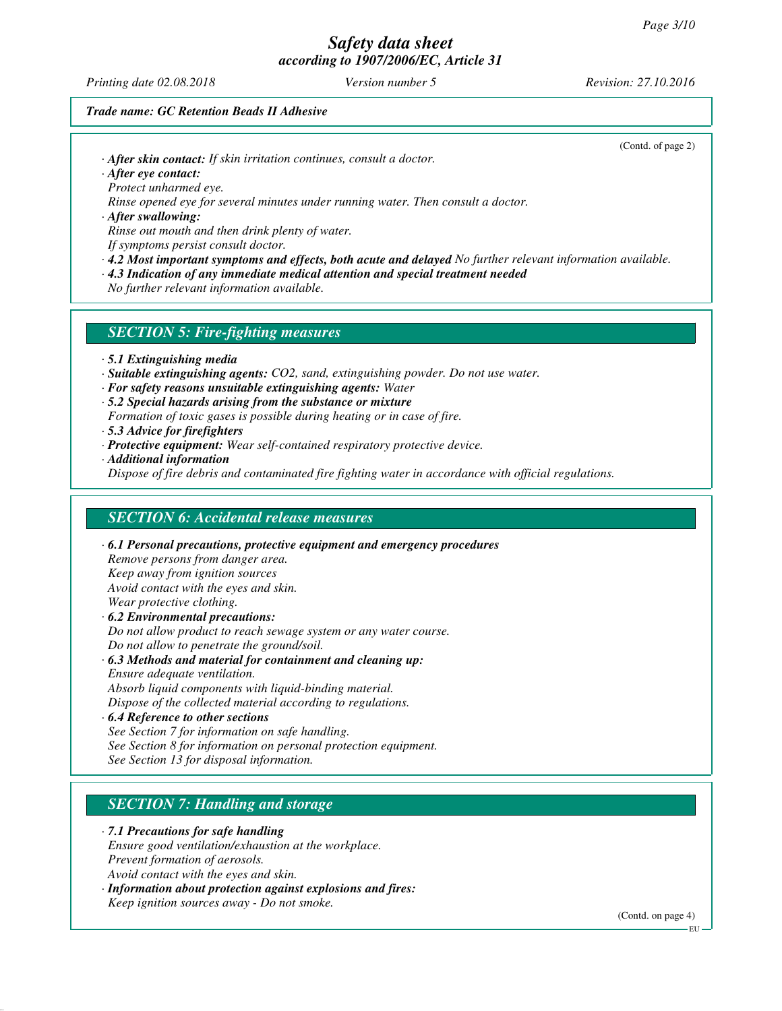*Printing date 02.08.2018 Version number 5 Revision: 27.10.2016*

(Contd. of page 2)

#### *Trade name: GC Retention Beads II Adhesive*

*· After skin contact: If skin irritation continues, consult a doctor.*

*· After eye contact: Protect unharmed eye.*

*Rinse opened eye for several minutes under running water. Then consult a doctor.*

*· After swallowing: Rinse out mouth and then drink plenty of water.*

*If symptoms persist consult doctor.*

*· 4.2 Most important symptoms and effects, both acute and delayed No further relevant information available.*

*· 4.3 Indication of any immediate medical attention and special treatment needed*

*No further relevant information available.*

## *SECTION 5: Fire-fighting measures*

- *· 5.1 Extinguishing media*
- *· Suitable extinguishing agents: CO2, sand, extinguishing powder. Do not use water.*
- *· For safety reasons unsuitable extinguishing agents: Water*
- *· 5.2 Special hazards arising from the substance or mixture*
- *Formation of toxic gases is possible during heating or in case of fire.*
- *· 5.3 Advice for firefighters*
- *· Protective equipment: Wear self-contained respiratory protective device.*
- *· Additional information*

*Dispose of fire debris and contaminated fire fighting water in accordance with official regulations.*

#### *SECTION 6: Accidental release measures*

*· 6.1 Personal precautions, protective equipment and emergency procedures Remove persons from danger area. Keep away from ignition sources Avoid contact with the eyes and skin. Wear protective clothing. · 6.2 Environmental precautions: Do not allow product to reach sewage system or any water course. Do not allow to penetrate the ground/soil.*

*· 6.3 Methods and material for containment and cleaning up: Ensure adequate ventilation. Absorb liquid components with liquid-binding material.*

*Dispose of the collected material according to regulations.*

*· 6.4 Reference to other sections See Section 7 for information on safe handling. See Section 8 for information on personal protection equipment. See Section 13 for disposal information.*

# *SECTION 7: Handling and storage*

*· 7.1 Precautions for safe handling Ensure good ventilation/exhaustion at the workplace. Prevent formation of aerosols. Avoid contact with the eyes and skin.*

*· Information about protection against explosions and fires: Keep ignition sources away - Do not smoke.*

(Contd. on page 4)

EU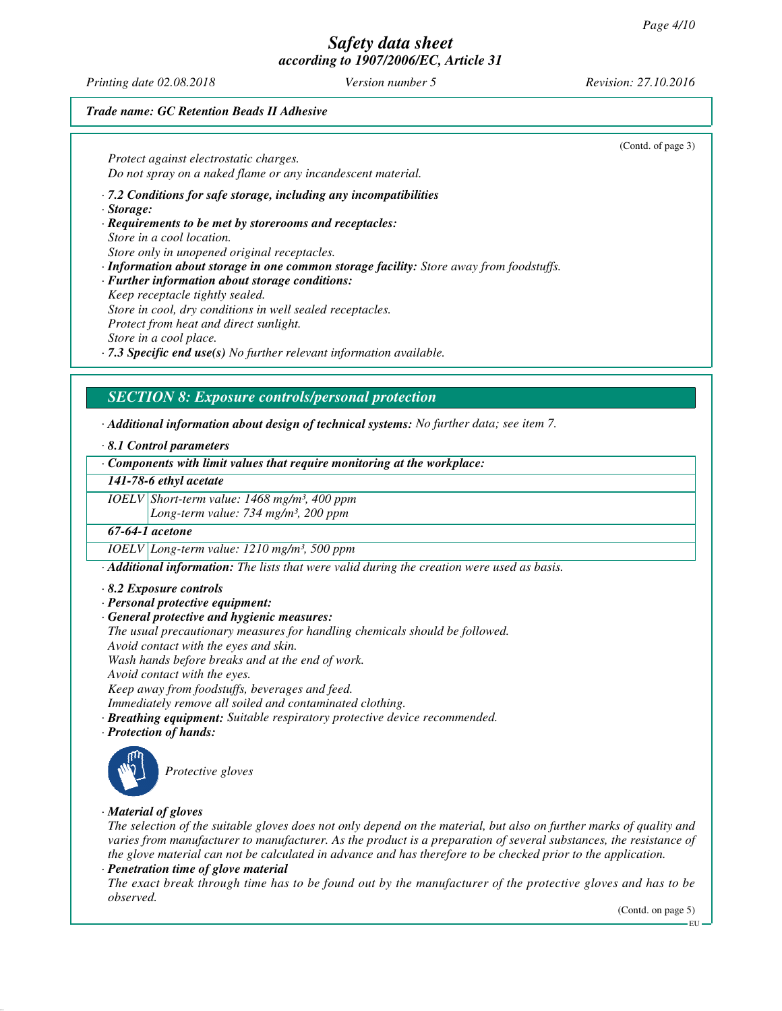*Printing date 02.08.2018 Version number 5 Revision: 27.10.2016*

(Contd. of page 3)

#### *Trade name: GC Retention Beads II Adhesive*

*Protect against electrostatic charges. Do not spray on a naked flame or any incandescent material.*

*· 7.2 Conditions for safe storage, including any incompatibilities*

*· Storage:*

*· Requirements to be met by storerooms and receptacles: Store in a cool location. Store only in unopened original receptacles.*

*· Information about storage in one common storage facility: Store away from foodstuffs.*

*· Further information about storage conditions: Keep receptacle tightly sealed.*

*Store in cool, dry conditions in well sealed receptacles.*

*Protect from heat and direct sunlight.*

*Store in a cool place.*

*· 7.3 Specific end use(s) No further relevant information available.*

## *SECTION 8: Exposure controls/personal protection*

*· Additional information about design of technical systems: No further data; see item 7.*

*· 8.1 Control parameters*

*· Components with limit values that require monitoring at the workplace:*

*141-78-6 ethyl acetate*

*IOELV Short-term value: 1468 mg/m³, 400 ppm*

*Long-term value: 734 mg/m³, 200 ppm*

## *67-64-1 acetone*

*IOELV Long-term value: 1210 mg/m³, 500 ppm*

*· Additional information: The lists that were valid during the creation were used as basis.*

*· 8.2 Exposure controls*

*· Personal protective equipment:*

*· General protective and hygienic measures:*

*The usual precautionary measures for handling chemicals should be followed.*

*Avoid contact with the eyes and skin.*

*Wash hands before breaks and at the end of work.*

*Avoid contact with the eyes.*

*Keep away from foodstuffs, beverages and feed.*

*Immediately remove all soiled and contaminated clothing.*

*· Breathing equipment: Suitable respiratory protective device recommended.*

*· Protection of hands:*



*Protective gloves*

#### *· Material of gloves*

*The selection of the suitable gloves does not only depend on the material, but also on further marks of quality and varies from manufacturer to manufacturer. As the product is a preparation of several substances, the resistance of the glove material can not be calculated in advance and has therefore to be checked prior to the application.*

*· Penetration time of glove material*

*The exact break through time has to be found out by the manufacturer of the protective gloves and has to be observed.*

(Contd. on page 5)

EU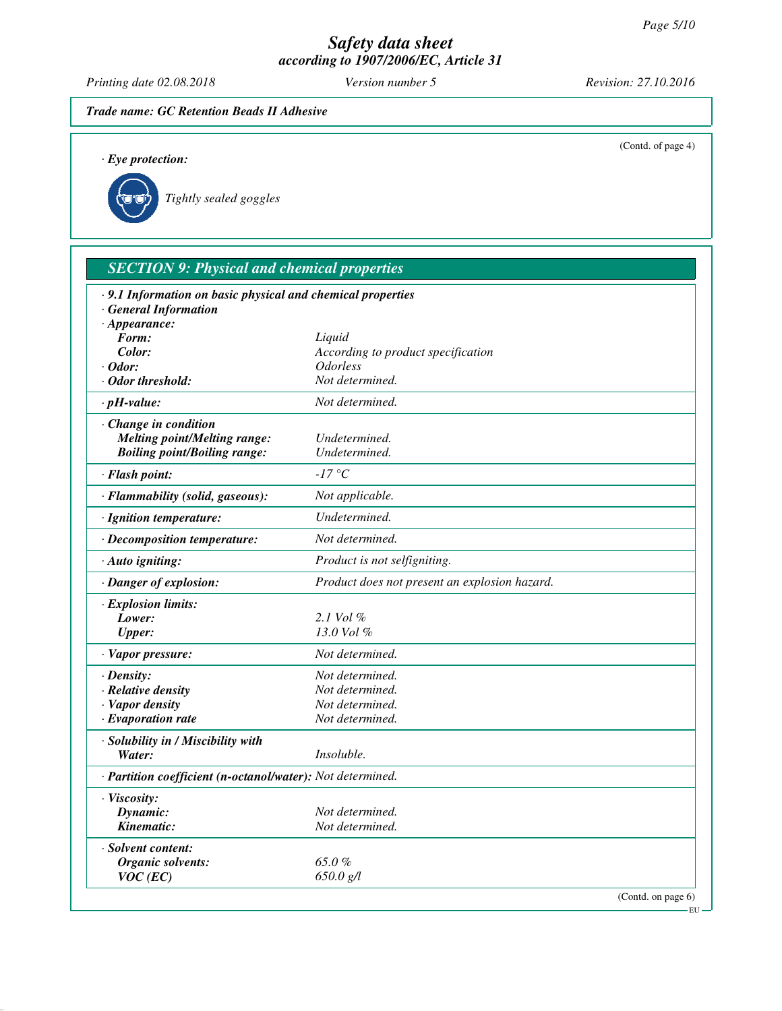*Printing date 02.08.2018 Version number 5 Revision: 27.10.2016*

# *Trade name: GC Retention Beads II Adhesive*

| $\cdot$ Eye protection:                                                                   |                                               | (Contd. of page 4) |
|-------------------------------------------------------------------------------------------|-----------------------------------------------|--------------------|
| Tightly sealed goggles                                                                    |                                               |                    |
| <b>SECTION 9: Physical and chemical properties</b>                                        |                                               |                    |
| · 9.1 Information on basic physical and chemical properties<br><b>General Information</b> |                                               |                    |
| $\cdot$ Appearance:                                                                       |                                               |                    |
| Form:                                                                                     | Liquid                                        |                    |
| Color:                                                                                    | According to product specification            |                    |
| $\cdot$ Odor:                                                                             | <b>Odorless</b>                               |                    |
| · Odor threshold:                                                                         | Not determined.                               |                    |
| $\cdot$ pH-value:                                                                         | Not determined.                               |                    |
| · Change in condition                                                                     |                                               |                    |
| <b>Melting point/Melting range:</b>                                                       | Undetermined.                                 |                    |
| <b>Boiling point/Boiling range:</b>                                                       | Undetermined.                                 |                    |
| · Flash point:                                                                            | $-17$ °C                                      |                    |
| · Flammability (solid, gaseous):                                                          | Not applicable.                               |                    |
| · Ignition temperature:                                                                   | Undetermined.                                 |                    |
| · Decomposition temperature:                                                              | Not determined.                               |                    |
| · Auto igniting:                                                                          | Product is not selfigniting.                  |                    |
| · Danger of explosion:                                                                    | Product does not present an explosion hazard. |                    |
| · Explosion limits:                                                                       |                                               |                    |
| Lower:                                                                                    | 2.1 Vol $\%$                                  |                    |
| <b>Upper:</b>                                                                             | 13.0 Vol %                                    |                    |
| · Vapor pressure:                                                                         | Not determined.                               |                    |
| · Density:                                                                                | Not determined.                               |                    |
| · Relative density                                                                        | Not determined.                               |                    |
| <b>Vapor density</b>                                                                      | Not determined.                               |                    |
| $\cdot$ Evaporation rate                                                                  | Not determined.                               |                    |
| · Solubility in / Miscibility with                                                        |                                               |                    |
| Water:                                                                                    | Insoluble.                                    |                    |
| · Partition coefficient (n-octanol/water): Not determined.                                |                                               |                    |
| · Viscosity:                                                                              |                                               |                    |
| Dynamic:                                                                                  | Not determined.                               |                    |
| Kinematic:                                                                                | Not determined.                               |                    |
| · Solvent content:                                                                        |                                               |                    |
| <b>Organic solvents:</b>                                                                  | 65.0%                                         |                    |
| $VOC$ (EC)                                                                                | 650.0 g/l                                     |                    |

(Contd. on page 6)

 $-EU -$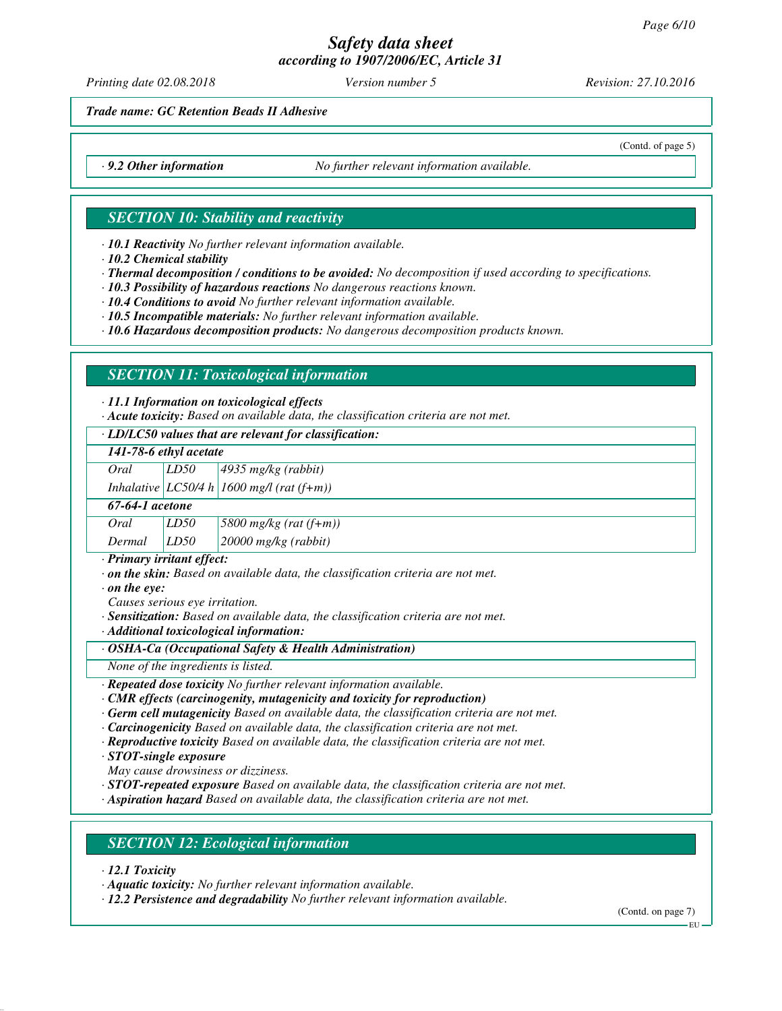*Printing date 02.08.2018 Version number 5 Revision: 27.10.2016*

(Contd. of page 5)

*Trade name: GC Retention Beads II Adhesive*

*· 9.2 Other information No further relevant information available.*

## *SECTION 10: Stability and reactivity*

*· 10.1 Reactivity No further relevant information available.*

*· 10.2 Chemical stability*

*· Thermal decomposition / conditions to be avoided: No decomposition if used according to specifications.*

*· 10.3 Possibility of hazardous reactions No dangerous reactions known.*

*· 10.4 Conditions to avoid No further relevant information available.*

*· 10.5 Incompatible materials: No further relevant information available.*

*· 10.6 Hazardous decomposition products: No dangerous decomposition products known.*

# *SECTION 11: Toxicological information*

*· 11.1 Information on toxicological effects*

*· Acute toxicity: Based on available data, the classification criteria are not met.*

#### *· LD/LC50 values that are relevant for classification:*

| 141-78-6 ethyl acetate |      |                       |
|------------------------|------|-----------------------|
| Oral                   | LD50 | $4935$ mg/kg (rabbit) |

*Inhalative LC50/4 h 1600 mg/l (rat (f+m))*

| 67-64-1 acetone |      |                                                               |
|-----------------|------|---------------------------------------------------------------|
| Oral            | LD50 | $\left 5800 \frac{mg}{kg}\left(\frac{rat}{f+m}\right)\right $ |
| Dermal          | LD50 | $20000$ mg/kg (rabbit)                                        |

*· Primary irritant effect:*

*· on the skin: Based on available data, the classification criteria are not met.*

*· on the eye:*

*Causes serious eye irritation.*

*· Sensitization: Based on available data, the classification criteria are not met.*

*· Additional toxicological information:*

#### *· OSHA-Ca (Occupational Safety & Health Administration)*

*None of the ingredients is listed.*

*· Repeated dose toxicity No further relevant information available.*

*· CMR effects (carcinogenity, mutagenicity and toxicity for reproduction)*

*· Germ cell mutagenicity Based on available data, the classification criteria are not met.*

*· Carcinogenicity Based on available data, the classification criteria are not met.*

*· Reproductive toxicity Based on available data, the classification criteria are not met.*

*· STOT-single exposure*

*May cause drowsiness or dizziness.*

*· STOT-repeated exposure Based on available data, the classification criteria are not met.*

*· Aspiration hazard Based on available data, the classification criteria are not met.*

# *SECTION 12: Ecological information*

*· 12.1 Toxicity*

*· Aquatic toxicity: No further relevant information available.*

*· 12.2 Persistence and degradability No further relevant information available.*

(Contd. on page 7)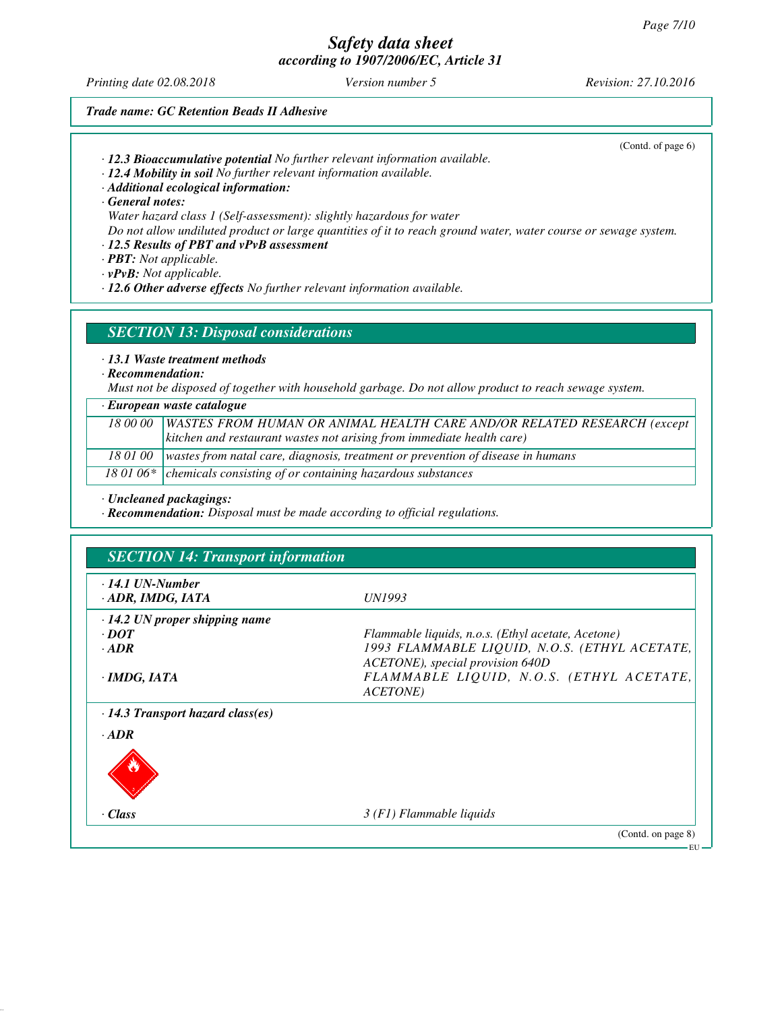*Printing date 02.08.2018 Version number 5 Revision: 27.10.2016*

(Contd. of page 6)

#### *Trade name: GC Retention Beads II Adhesive*

*· 12.3 Bioaccumulative potential No further relevant information available.*

*· 12.4 Mobility in soil No further relevant information available.*

*· Additional ecological information:*

*· General notes:*

*Water hazard class 1 (Self-assessment): slightly hazardous for water*

*Do not allow undiluted product or large quantities of it to reach ground water, water course or sewage system.*

# *· 12.5 Results of PBT and vPvB assessment*

*· PBT: Not applicable.*

*· vPvB: Not applicable.*

*· 12.6 Other adverse effects No further relevant information available.*

### *SECTION 13: Disposal considerations*

*· 13.1 Waste treatment methods*

*· Recommendation:*

*Must not be disposed of together with household garbage. Do not allow product to reach sewage system.*

| $\cdot$ European waste catalogue |                                                                                            |  |
|----------------------------------|--------------------------------------------------------------------------------------------|--|
|                                  | 18 00 00   WASTES FROM HUMAN OR ANIMAL HEALTH CARE AND/OR RELATED RESEARCH (except         |  |
|                                  | kitchen and restaurant wastes not arising from immediate health care)                      |  |
|                                  | 18 01 00   wastes from natal care, diagnosis, treatment or prevention of disease in humans |  |
|                                  | 18 01 06* $\vert$ chemicals consisting of or containing hazardous substances               |  |

*· Uncleaned packagings:*

*· Recommendation: Disposal must be made according to official regulations.*

| $\cdot$ 14.1 UN-Number<br>$\cdot$ ADR, IMDG, IATA | <i>UN1993</i>                                      |
|---------------------------------------------------|----------------------------------------------------|
| $\cdot$ 14.2 UN proper shipping name              |                                                    |
| $\cdot$ DOT                                       | Flammable liquids, n.o.s. (Ethyl acetate, Acetone) |
| $\cdot$ ADR                                       | 1993 FLAMMABLE LIQUID, N.O.S. (ETHYL ACETATE,      |
|                                                   | ACETONE), special provision 640D                   |
| $\cdot$ IMDG, IATA                                | FLAMMABLE LIQUID, N.O.S. (ETHYL ACETATE,           |
|                                                   | ACETONE)                                           |
| $\cdot$ 14.3 Transport hazard class(es)           |                                                    |
| $\cdot$ ADR                                       |                                                    |
|                                                   |                                                    |
| · Class                                           | $3(F1)$ Flammable liquids                          |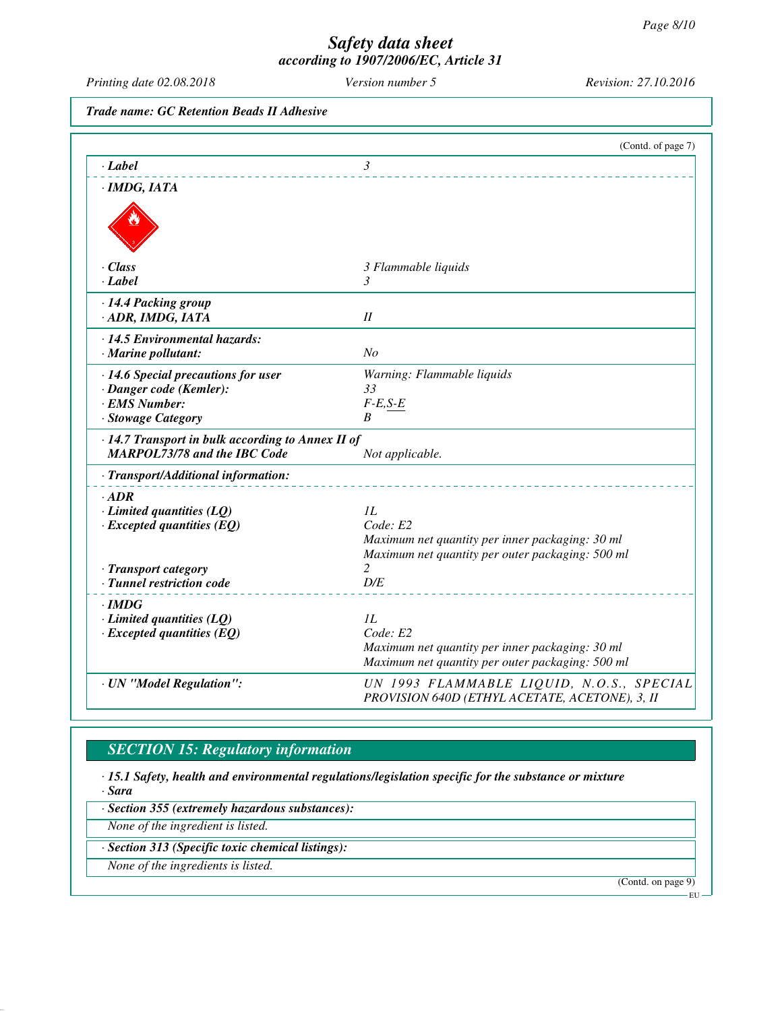*Printing date 02.08.2018 Version number 5 Revision: 27.10.2016*

*Trade name: GC Retention Beads II Adhesive*

|                                                                                          | (Contd. of page 7)                                                                                  |
|------------------------------------------------------------------------------------------|-----------------------------------------------------------------------------------------------------|
| · Label                                                                                  | $\mathfrak{Z}$                                                                                      |
| $\cdot$ IMDG, IATA                                                                       |                                                                                                     |
|                                                                                          |                                                                                                     |
|                                                                                          |                                                                                                     |
|                                                                                          |                                                                                                     |
| · Class                                                                                  | 3 Flammable liquids                                                                                 |
| $\cdot$ Label                                                                            | 3                                                                                                   |
| · 14.4 Packing group                                                                     |                                                                                                     |
| · ADR, IMDG, IATA                                                                        | $I\!I$                                                                                              |
| · 14.5 Environmental hazards:                                                            |                                                                                                     |
| · Marine pollutant:                                                                      | N <sub>o</sub>                                                                                      |
| · 14.6 Special precautions for user                                                      | Warning: Flammable liquids                                                                          |
| · Danger code (Kemler):                                                                  | 33                                                                                                  |
| · EMS Number:                                                                            | $F-E, S-E$<br>B                                                                                     |
| · Stowage Category                                                                       |                                                                                                     |
| · 14.7 Transport in bulk according to Annex II of<br><b>MARPOL73/78 and the IBC Code</b> |                                                                                                     |
|                                                                                          | Not applicable.                                                                                     |
| · Transport/Additional information:                                                      |                                                                                                     |
| $\cdot$ ADR                                                                              |                                                                                                     |
| $\cdot$ Limited quantities (LQ)                                                          | 1L                                                                                                  |
| $\cdot$ Excepted quantities (EQ)                                                         | Code: E2                                                                                            |
|                                                                                          | Maximum net quantity per inner packaging: 30 ml<br>Maximum net quantity per outer packaging: 500 ml |
| · Transport category                                                                     | $\overline{c}$                                                                                      |
| · Tunnel restriction code                                                                | D/E                                                                                                 |
| · IMDG                                                                                   |                                                                                                     |
| $\cdot$ Limited quantities (LQ)                                                          | 1L                                                                                                  |
| $\cdot$ Excepted quantities (EQ)                                                         | Code: E2                                                                                            |
|                                                                                          | Maximum net quantity per inner packaging: 30 ml                                                     |
|                                                                                          | Maximum net quantity per outer packaging: 500 ml                                                    |
| · UN "Model Regulation":                                                                 | UN 1993 FLAMMABLE LIQUID, N.O.S., SPECIAL                                                           |
|                                                                                          | PROVISION 640D (ETHYL ACETATE, ACETONE), 3, II                                                      |

# *SECTION 15: Regulatory information*

*· 15.1 Safety, health and environmental regulations/legislation specific for the substance or mixture · Sara*

*· Section 355 (extremely hazardous substances):*

*None of the ingredient is listed.*

*· Section 313 (Specific toxic chemical listings):*

*None of the ingredients is listed.*

(Contd. on page 9)

EU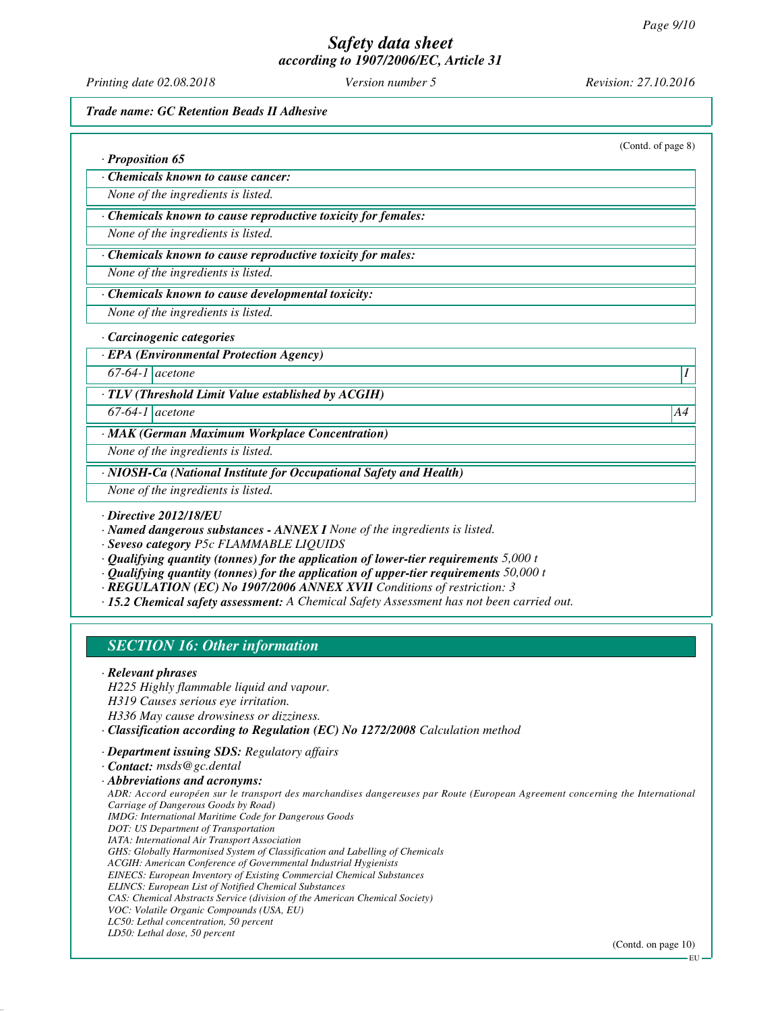*Printing date 02.08.2018 Version number 5 Revision: 27.10.2016*

*Trade name: GC Retention Beads II Adhesive*

(Contd. of page 8)

*· Proposition 65*

*· Chemicals known to cause cancer:*

*None of the ingredients is listed.*

*· Chemicals known to cause reproductive toxicity for females:*

*None of the ingredients is listed.*

*· Chemicals known to cause reproductive toxicity for males:*

*None of the ingredients is listed.*

#### *· Chemicals known to cause developmental toxicity:*

*None of the ingredients is listed.*

#### *· Carcinogenic categories*

*· EPA (Environmental Protection Agency)*

*67-64-1 acetone I* 

*· TLV (Threshold Limit Value established by ACGIH)*

*67-64-1 acetone A4*

*· MAK (German Maximum Workplace Concentration)*

*None of the ingredients is listed.*

*· NIOSH-Ca (National Institute for Occupational Safety and Health)*

*None of the ingredients is listed.*

*· Directive 2012/18/EU*

*· Named dangerous substances - ANNEX I None of the ingredients is listed.*

*· Seveso category P5c FLAMMABLE LIQUIDS*

- *· Qualifying quantity (tonnes) for the application of lower-tier requirements 5,000 t*
- *· Qualifying quantity (tonnes) for the application of upper-tier requirements 50,000 t*
- *· REGULATION (EC) No 1907/2006 ANNEX XVII Conditions of restriction: 3*

*· 15.2 Chemical safety assessment: A Chemical Safety Assessment has not been carried out.*

# *SECTION 16: Other information*

#### *· Relevant phrases*

*H225 Highly flammable liquid and vapour. H319 Causes serious eye irritation. H336 May cause drowsiness or dizziness. · Classification according to Regulation (EC) No 1272/2008 Calculation method*

*· Department issuing SDS: Regulatory affairs*

*· Contact: msds@gc.dental*

*· Abbreviations and acronyms: ADR: Accord européen sur le transport des marchandises dangereuses par Route (European Agreement concerning the International Carriage of Dangerous Goods by Road) IMDG: International Maritime Code for Dangerous Goods DOT: US Department of Transportation IATA: International Air Transport Association GHS: Globally Harmonised System of Classification and Labelling of Chemicals ACGIH: American Conference of Governmental Industrial Hygienists EINECS: European Inventory of Existing Commercial Chemical Substances ELINCS: European List of Notified Chemical Substances CAS: Chemical Abstracts Service (division of the American Chemical Society) VOC: Volatile Organic Compounds (USA, EU) LC50: Lethal concentration, 50 percent LD50: Lethal dose, 50 percent*